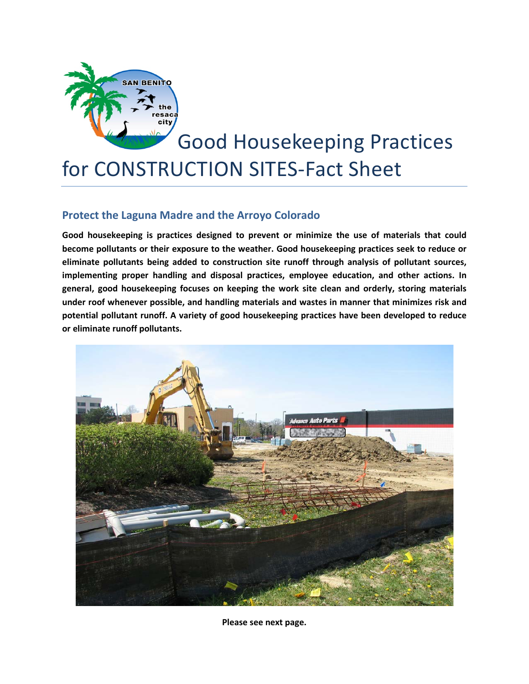

## Good Housekeeping Practices for CONSTRUCTION SITES-Fact Sheet

## **Protect the Laguna Madre and the Arroyo Colorado**

**Good housekeeping is practices designed to prevent or minimize the use of materials that could become pollutants or their exposure to the weather. Good housekeeping practices seek to reduce or eliminate pollutants being added to construction site runoff through analysis of pollutant sources, implementing proper handling and disposal practices, employee education, and other actions. In general, good housekeeping focuses on keeping the work site clean and orderly, storing materials under roof whenever possible, and handling materials and wastes in manner that minimizes risk and potential pollutant runoff. A variety of good housekeeping practices have been developed to reduce or eliminate runoff pollutants.**



**Please see next page.**